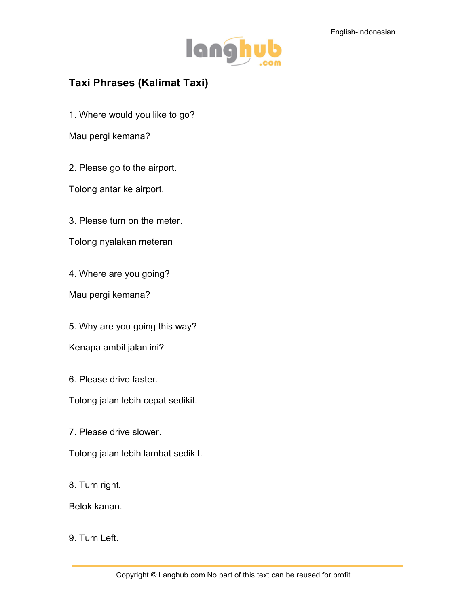

## **Taxi Phrases (Kalimat Taxi)**

1. Where would you like to go?

Mau pergi kemana?

2. Please go to the airport.

Tolong antar ke airport.

3. Please turn on the meter.

Tolong nyalakan meteran

4. Where are you going?

Mau pergi kemana?

5. Why are you going this way?

Kenapa ambil jalan ini?

6. Please drive faster.

Tolong jalan lebih cepat sedikit.

7. Please drive slower.

Tolong jalan lebih lambat sedikit.

8. Turn right.

Belok kanan.

9. Turn Left.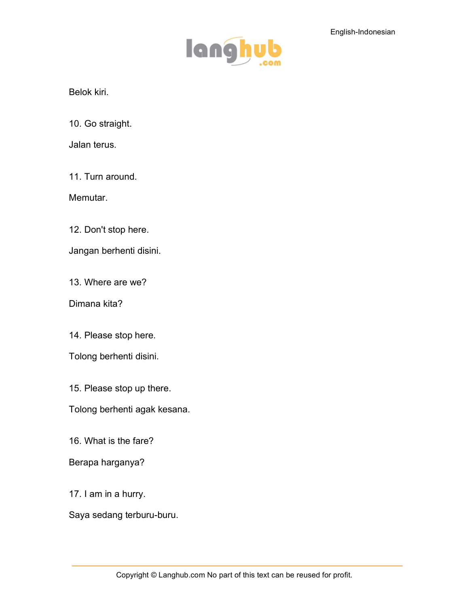

Belok kiri.

10. Go straight.

Jalan terus.

11. Turn around.

Memutar.

12. Don't stop here.

Jangan berhenti disini.

13. Where are we?

Dimana kita?

14. Please stop here.

Tolong berhenti disini.

15. Please stop up there.

Tolong berhenti agak kesana.

16. What is the fare?

Berapa harganya?

17. I am in a hurry.

Saya sedang terburu-buru.